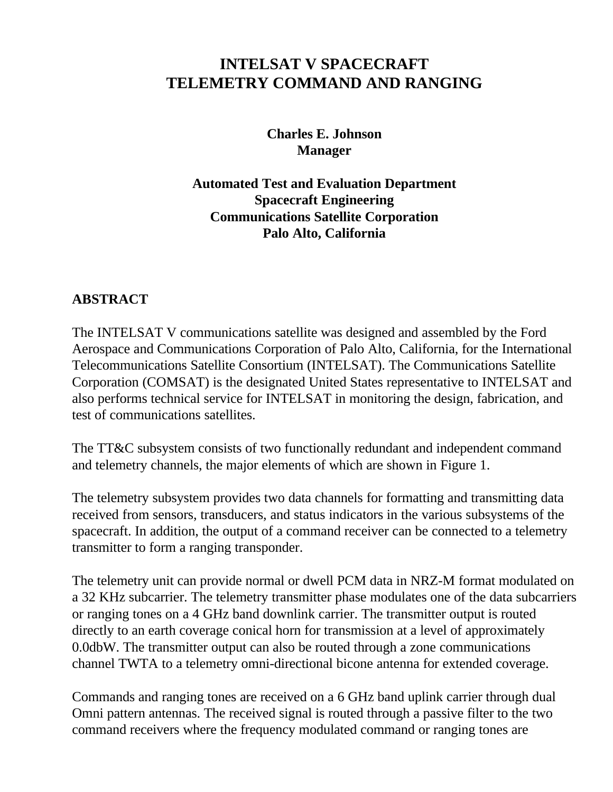# **INTELSAT V SPACECRAFT TELEMETRY COMMAND AND RANGING**

**Charles E. Johnson Manager**

**Automated Test and Evaluation Department Spacecraft Engineering Communications Satellite Corporation Palo Alto, California**

### **ABSTRACT**

The INTELSAT V communications satellite was designed and assembled by the Ford Aerospace and Communications Corporation of Palo Alto, California, for the International Telecommunications Satellite Consortium (INTELSAT). The Communications Satellite Corporation (COMSAT) is the designated United States representative to INTELSAT and also performs technical service for INTELSAT in monitoring the design, fabrication, and test of communications satellites.

The TT&C subsystem consists of two functionally redundant and independent command and telemetry channels, the major elements of which are shown in Figure 1.

The telemetry subsystem provides two data channels for formatting and transmitting data received from sensors, transducers, and status indicators in the various subsystems of the spacecraft. In addition, the output of a command receiver can be connected to a telemetry transmitter to form a ranging transponder.

The telemetry unit can provide normal or dwell PCM data in NRZ-M format modulated on a 32 KHz subcarrier. The telemetry transmitter phase modulates one of the data subcarriers or ranging tones on a 4 GHz band downlink carrier. The transmitter output is routed directly to an earth coverage conical horn for transmission at a level of approximately 0.0dbW. The transmitter output can also be routed through a zone communications channel TWTA to a telemetry omni-directional bicone antenna for extended coverage.

Commands and ranging tones are received on a 6 GHz band uplink carrier through dual Omni pattern antennas. The received signal is routed through a passive filter to the two command receivers where the frequency modulated command or ranging tones are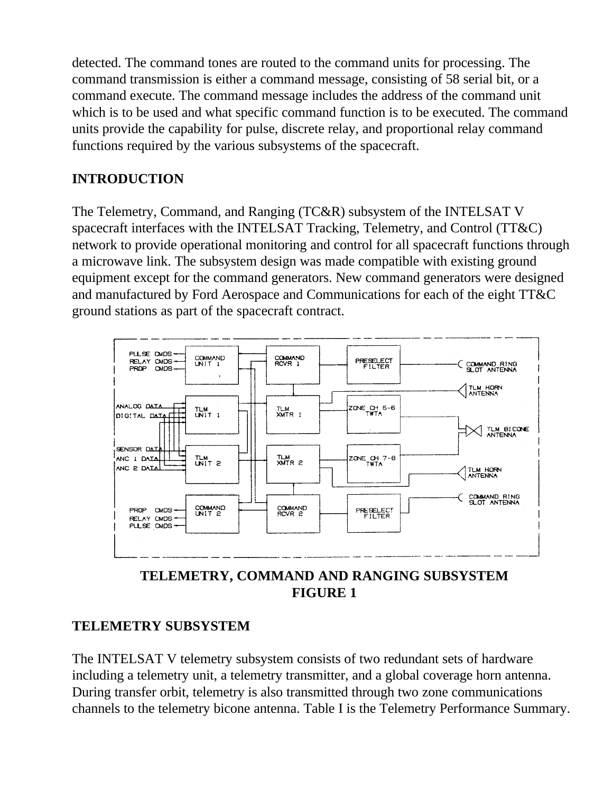detected. The command tones are routed to the command units for processing. The command transmission is either a command message, consisting of 58 serial bit, or a command execute. The command message includes the address of the command unit which is to be used and what specific command function is to be executed. The command units provide the capability for pulse, discrete relay, and proportional relay command functions required by the various subsystems of the spacecraft.

## **INTRODUCTION**

The Telemetry, Command, and Ranging (TC&R) subsystem of the INTELSAT V spacecraft interfaces with the INTELSAT Tracking, Telemetry, and Control (TT&C) network to provide operational monitoring and control for all spacecraft functions through a microwave link. The subsystem design was made compatible with existing ground equipment except for the command generators. New command generators were designed and manufactured by Ford Aerospace and Communications for each of the eight TT&C ground stations as part of the spacecraft contract.





## **TELEMETRY SUBSYSTEM**

The INTELSAT V telemetry subsystem consists of two redundant sets of hardware including a telemetry unit, a telemetry transmitter, and a global coverage horn antenna. During transfer orbit, telemetry is also transmitted through two zone communications channels to the telemetry bicone antenna. Table I is the Telemetry Performance Summary.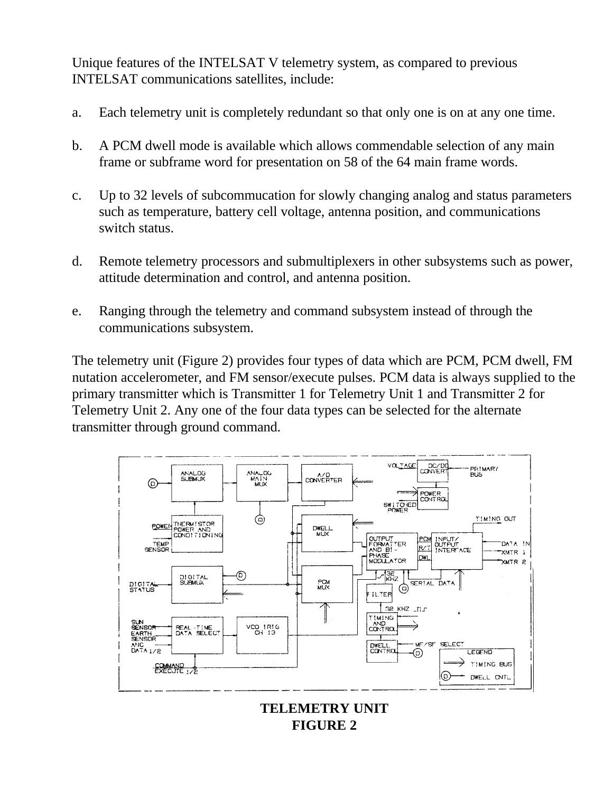Unique features of the INTELSAT V telemetry system, as compared to previous INTELSAT communications satellites, include:

- a. Each telemetry unit is completely redundant so that only one is on at any one time.
- b. A PCM dwell mode is available which allows commendable selection of any main frame or subframe word for presentation on 58 of the 64 main frame words.
- c. Up to 32 levels of subcommucation for slowly changing analog and status parameters such as temperature, battery cell voltage, antenna position, and communications switch status.
- d. Remote telemetry processors and submultiplexers in other subsystems such as power, attitude determination and control, and antenna position.
- e. Ranging through the telemetry and command subsystem instead of through the communications subsystem.

The telemetry unit (Figure 2) provides four types of data which are PCM, PCM dwell, FM nutation accelerometer, and FM sensor/execute pulses. PCM data is always supplied to the primary transmitter which is Transmitter 1 for Telemetry Unit 1 and Transmitter 2 for Telemetry Unit 2. Any one of the four data types can be selected for the alternate transmitter through ground command.



**TELEMETRY UNIT FIGURE 2**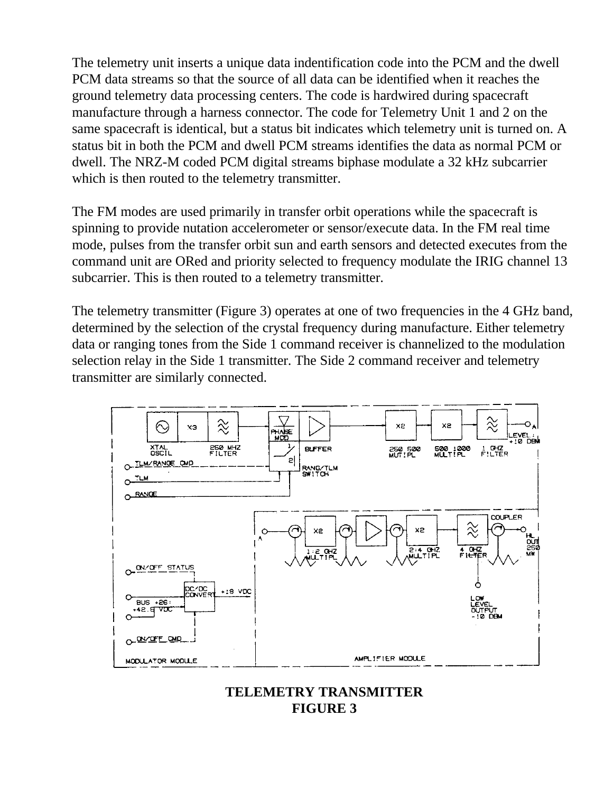The telemetry unit inserts a unique data indentification code into the PCM and the dwell PCM data streams so that the source of all data can be identified when it reaches the ground telemetry data processing centers. The code is hardwired during spacecraft manufacture through a harness connector. The code for Telemetry Unit 1 and 2 on the same spacecraft is identical, but a status bit indicates which telemetry unit is turned on. A status bit in both the PCM and dwell PCM streams identifies the data as normal PCM or dwell. The NRZ-M coded PCM digital streams biphase modulate a 32 kHz subcarrier which is then routed to the telemetry transmitter.

The FM modes are used primarily in transfer orbit operations while the spacecraft is spinning to provide nutation accelerometer or sensor/execute data. In the FM real time mode, pulses from the transfer orbit sun and earth sensors and detected executes from the command unit are ORed and priority selected to frequency modulate the IRIG channel 13 subcarrier. This is then routed to a telemetry transmitter.

The telemetry transmitter (Figure 3) operates at one of two frequencies in the 4 GHz band, determined by the selection of the crystal frequency during manufacture. Either telemetry data or ranging tones from the Side 1 command receiver is channelized to the modulation selection relay in the Side 1 transmitter. The Side 2 command receiver and telemetry transmitter are similarly connected.



#### **TELEMETRY TRANSMITTER FIGURE 3**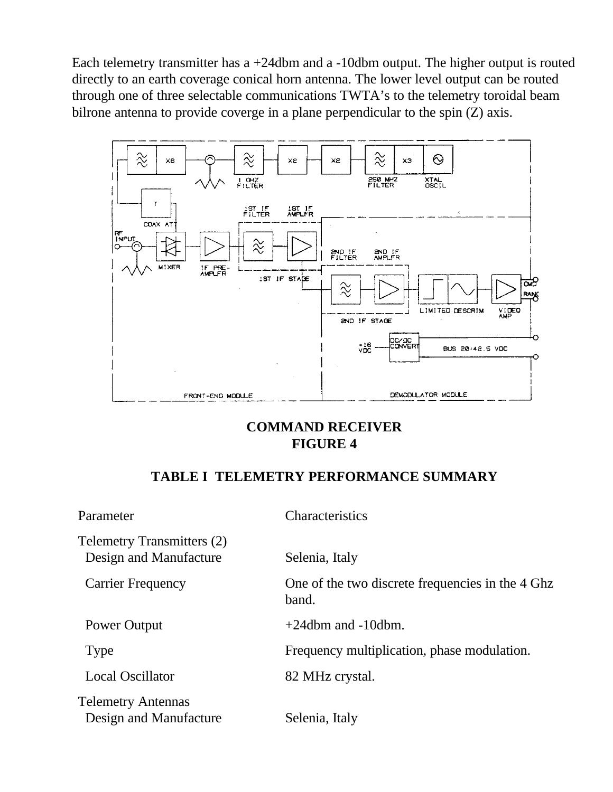Each telemetry transmitter has a +24dbm and a -10dbm output. The higher output is routed directly to an earth coverage conical horn antenna. The lower level output can be routed through one of three selectable communications TWTA's to the telemetry toroidal beam bilrone antenna to provide coverge in a plane perpendicular to the spin (Z) axis.



## **COMMAND RECEIVER FIGURE 4**

#### **TABLE I TELEMETRY PERFORMANCE SUMMARY**

| Parameter                                                   | Characteristics                                           |
|-------------------------------------------------------------|-----------------------------------------------------------|
| <b>Telemetry Transmitters (2)</b><br>Design and Manufacture | Selenia, Italy                                            |
| <b>Carrier Frequency</b>                                    | One of the two discrete frequencies in the 4 Ghz<br>band. |
| Power Output                                                | $+24$ dbm and $-10$ dbm.                                  |
| Type                                                        | Frequency multiplication, phase modulation.               |
| <b>Local Oscillator</b>                                     | 82 MHz crystal.                                           |
| <b>Telemetry Antennas</b><br>Design and Manufacture         | Selenia, Italy                                            |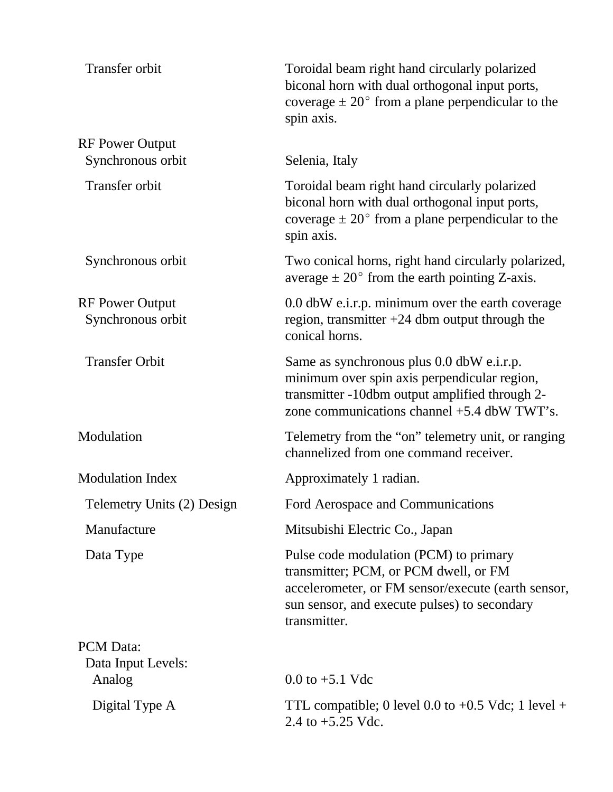| Transfer orbit                                   | Toroidal beam right hand circularly polarized<br>biconal horn with dual orthogonal input ports,<br>coverage $\pm 20^{\circ}$ from a plane perpendicular to the<br>spin axis.                          |
|--------------------------------------------------|-------------------------------------------------------------------------------------------------------------------------------------------------------------------------------------------------------|
| <b>RF Power Output</b><br>Synchronous orbit      | Selenia, Italy                                                                                                                                                                                        |
| Transfer orbit                                   | Toroidal beam right hand circularly polarized<br>biconal horn with dual orthogonal input ports,<br>coverage $\pm 20^{\circ}$ from a plane perpendicular to the<br>spin axis.                          |
| Synchronous orbit                                | Two conical horns, right hand circularly polarized,<br>average $\pm 20^{\circ}$ from the earth pointing Z-axis.                                                                                       |
| <b>RF Power Output</b><br>Synchronous orbit      | 0.0 dbW e.i.r.p. minimum over the earth coverage<br>region, transmitter $+24$ dbm output through the<br>conical horns.                                                                                |
| <b>Transfer Orbit</b>                            | Same as synchronous plus 0.0 dbW e.i.r.p.<br>minimum over spin axis perpendicular region,<br>transmitter -10dbm output amplified through 2-<br>zone communications channel +5.4 dbW TWT's.            |
| Modulation                                       | Telemetry from the "on" telemetry unit, or ranging<br>channelized from one command receiver.                                                                                                          |
| <b>Modulation Index</b>                          | Approximately 1 radian.                                                                                                                                                                               |
| Telemetry Units (2) Design                       | Ford Aerospace and Communications                                                                                                                                                                     |
| Manufacture                                      | Mitsubishi Electric Co., Japan                                                                                                                                                                        |
| Data Type                                        | Pulse code modulation (PCM) to primary<br>transmitter; PCM, or PCM dwell, or FM<br>accelerometer, or FM sensor/execute (earth sensor,<br>sun sensor, and execute pulses) to secondary<br>transmitter. |
| <b>PCM</b> Data:<br>Data Input Levels:<br>Analog | 0.0 to $+5.1$ Vdc                                                                                                                                                                                     |
| Digital Type A                                   | TTL compatible; 0 level 0.0 to $+0.5$ Vdc; 1 level $+$<br>2.4 to +5.25 Vdc.                                                                                                                           |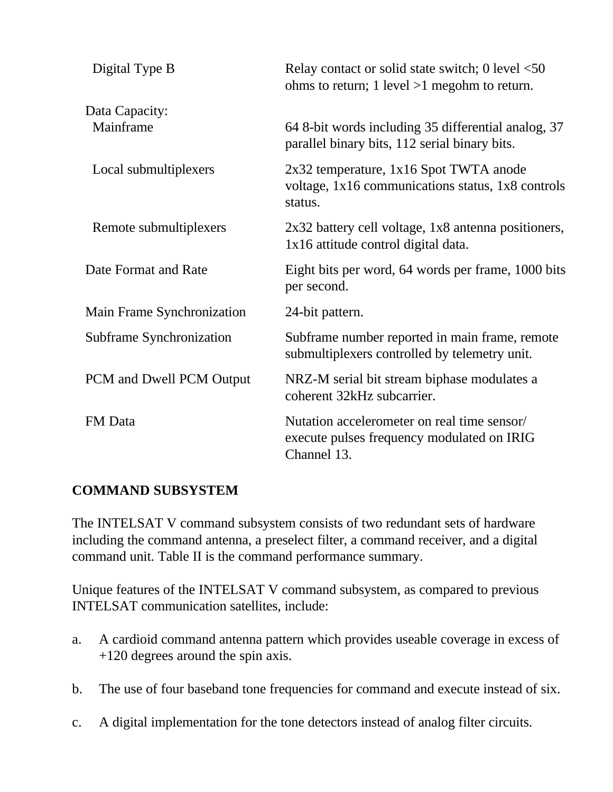| Digital Type B             | Relay contact or solid state switch; $0$ level $\leq 50$<br>ohms to return; 1 level $>1$ megohm to return. |
|----------------------------|------------------------------------------------------------------------------------------------------------|
| Data Capacity:             |                                                                                                            |
| Mainframe                  | 64 8-bit words including 35 differential analog, 37<br>parallel binary bits, 112 serial binary bits.       |
| Local submultiplexers      | 2x32 temperature, 1x16 Spot TWTA anode<br>voltage, 1x16 communications status, 1x8 controls<br>status.     |
| Remote submultiplexers     | 2x32 battery cell voltage, 1x8 antenna positioners,<br>1x16 attitude control digital data.                 |
| Date Format and Rate       | Eight bits per word, 64 words per frame, 1000 bits<br>per second.                                          |
| Main Frame Synchronization | 24-bit pattern.                                                                                            |
| Subframe Synchronization   | Subframe number reported in main frame, remote<br>submultiplexers controlled by telemetry unit.            |
| PCM and Dwell PCM Output   | NRZ-M serial bit stream biphase modulates a<br>coherent 32kHz subcarrier.                                  |
| <b>FM</b> Data             | Nutation accelerometer on real time sensor/<br>execute pulses frequency modulated on IRIG<br>Channel 13.   |

## **COMMAND SUBSYSTEM**

The INTELSAT V command subsystem consists of two redundant sets of hardware including the command antenna, a preselect filter, a command receiver, and a digital command unit. Table II is the command performance summary.

Unique features of the INTELSAT V command subsystem, as compared to previous INTELSAT communication satellites, include:

- a. A cardioid command antenna pattern which provides useable coverage in excess of +120 degrees around the spin axis.
- b. The use of four baseband tone frequencies for command and execute instead of six.
- c. A digital implementation for the tone detectors instead of analog filter circuits.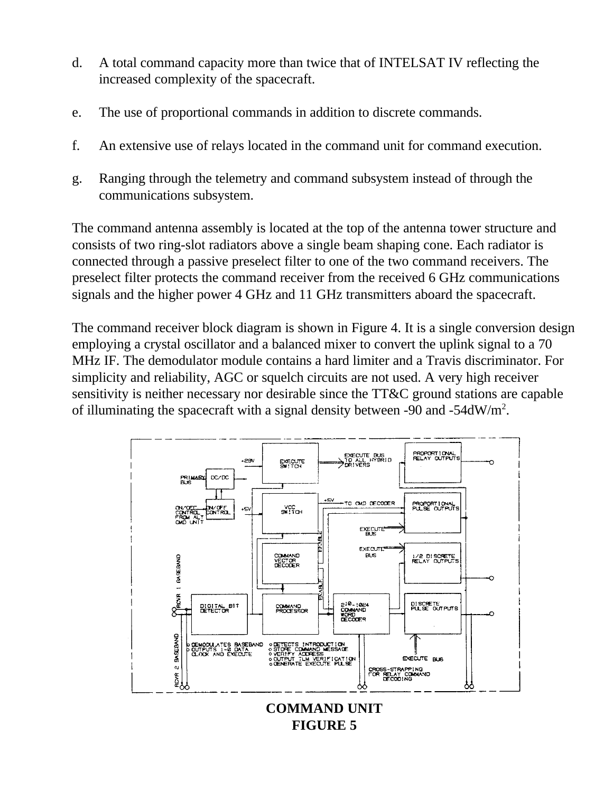- d. A total command capacity more than twice that of INTELSAT IV reflecting the increased complexity of the spacecraft.
- e. The use of proportional commands in addition to discrete commands.
- f. An extensive use of relays located in the command unit for command execution.
- g. Ranging through the telemetry and command subsystem instead of through the communications subsystem.

The command antenna assembly is located at the top of the antenna tower structure and consists of two ring-slot radiators above a single beam shaping cone. Each radiator is connected through a passive preselect filter to one of the two command receivers. The preselect filter protects the command receiver from the received 6 GHz communications signals and the higher power 4 GHz and 11 GHz transmitters aboard the spacecraft.

The command receiver block diagram is shown in Figure 4. It is a single conversion design employing a crystal oscillator and a balanced mixer to convert the uplink signal to a 70 MHz IF. The demodulator module contains a hard limiter and a Travis discriminator. For simplicity and reliability, AGC or squelch circuits are not used. A very high receiver sensitivity is neither necessary nor desirable since the TT&C ground stations are capable of illuminating the spacecraft with a signal density between -90 and -54dW/m<sup>2</sup>.

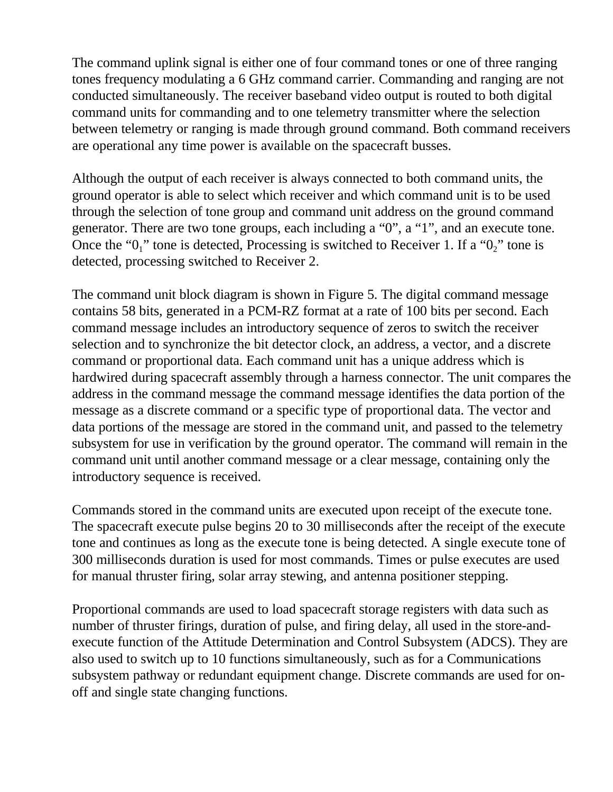The command uplink signal is either one of four command tones or one of three ranging tones frequency modulating a 6 GHz command carrier. Commanding and ranging are not conducted simultaneously. The receiver baseband video output is routed to both digital command units for commanding and to one telemetry transmitter where the selection between telemetry or ranging is made through ground command. Both command receivers are operational any time power is available on the spacecraft busses.

Although the output of each receiver is always connected to both command units, the ground operator is able to select which receiver and which command unit is to be used through the selection of tone group and command unit address on the ground command generator. There are two tone groups, each including a "0", a "1", and an execute tone. Once the " $0<sub>1</sub>$ " tone is detected, Processing is switched to Receiver 1. If a " $0<sub>2</sub>$ " tone is detected, processing switched to Receiver 2.

The command unit block diagram is shown in Figure 5. The digital command message contains 58 bits, generated in a PCM-RZ format at a rate of 100 bits per second. Each command message includes an introductory sequence of zeros to switch the receiver selection and to synchronize the bit detector clock, an address, a vector, and a discrete command or proportional data. Each command unit has a unique address which is hardwired during spacecraft assembly through a harness connector. The unit compares the address in the command message the command message identifies the data portion of the message as a discrete command or a specific type of proportional data. The vector and data portions of the message are stored in the command unit, and passed to the telemetry subsystem for use in verification by the ground operator. The command will remain in the command unit until another command message or a clear message, containing only the introductory sequence is received.

Commands stored in the command units are executed upon receipt of the execute tone. The spacecraft execute pulse begins 20 to 30 milliseconds after the receipt of the execute tone and continues as long as the execute tone is being detected. A single execute tone of 300 milliseconds duration is used for most commands. Times or pulse executes are used for manual thruster firing, solar array stewing, and antenna positioner stepping.

Proportional commands are used to load spacecraft storage registers with data such as number of thruster firings, duration of pulse, and firing delay, all used in the store-andexecute function of the Attitude Determination and Control Subsystem (ADCS). They are also used to switch up to 10 functions simultaneously, such as for a Communications subsystem pathway or redundant equipment change. Discrete commands are used for onoff and single state changing functions.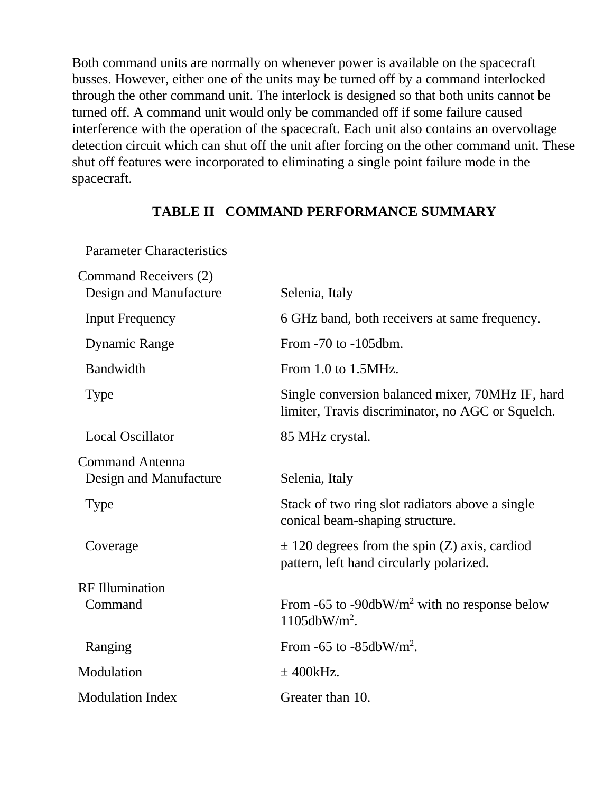Both command units are normally on whenever power is available on the spacecraft busses. However, either one of the units may be turned off by a command interlocked through the other command unit. The interlock is designed so that both units cannot be turned off. A command unit would only be commanded off if some failure caused interference with the operation of the spacecraft. Each unit also contains an overvoltage detection circuit which can shut off the unit after forcing on the other command unit. These shut off features were incorporated to eliminating a single point failure mode in the spacecraft.

#### **TABLE II COMMAND PERFORMANCE SUMMARY**

Parameter Characteristics

| Command Receivers (2)   |                                                                                                       |
|-------------------------|-------------------------------------------------------------------------------------------------------|
| Design and Manufacture  | Selenia, Italy                                                                                        |
| <b>Input Frequency</b>  | 6 GHz band, both receivers at same frequency.                                                         |
| <b>Dynamic Range</b>    | From $-70$ to $-105$ dbm.                                                                             |
| Bandwidth               | From $1.0$ to $1.5$ MHz.                                                                              |
| <b>Type</b>             | Single conversion balanced mixer, 70MHz IF, hard<br>limiter, Travis discriminator, no AGC or Squelch. |
| <b>Local Oscillator</b> | 85 MHz crystal.                                                                                       |
| <b>Command Antenna</b>  |                                                                                                       |
| Design and Manufacture  | Selenia, Italy                                                                                        |
| <b>Type</b>             | Stack of two ring slot radiators above a single<br>conical beam-shaping structure.                    |
| Coverage                | $\pm$ 120 degrees from the spin (Z) axis, cardiod<br>pattern, left hand circularly polarized.         |
| <b>RF</b> Illumination  |                                                                                                       |
| Command                 | From -65 to -90dbW/ $m^2$ with no response below<br>$1105dbW/m2$ .                                    |
| Ranging                 | From $-65$ to $-85$ dbW/m <sup>2</sup> .                                                              |
| Modulation              | $\pm$ 400 kHz.                                                                                        |
| <b>Modulation Index</b> | Greater than 10.                                                                                      |